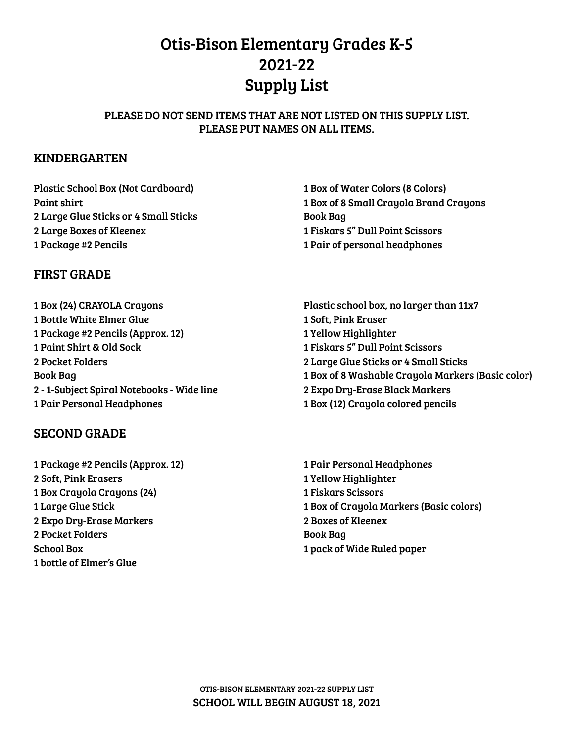# Otis-Bison Elementary Grades K-5 2021-22 Supply List

#### PLEASE DO NOT SEND ITEMS THAT ARE NOT LISTED ON THIS SUPPLY LIST. PLEASE PUT NAMES ON ALL ITEMS.

## KINDERGARTEN

Plastic School Box (Not Cardboard) Paint shirt Large Glue Sticks or 4 Small Sticks Large Boxes of Kleenex Package #2 Pencils

## FIRST GRADE

 Box (24) CRAYOLA Crayons Bottle White Elmer Glue Package #2 Pencils (Approx. 12) Paint Shirt & Old Sock Pocket Folders Book Bag - 1-Subject Spiral Notebooks - Wide line Pair Personal Headphones

## SECOND GRADE

 Package #2 Pencils (Approx. 12) Soft, Pink Erasers Box Crayola Crayons (24) Large Glue Stick Expo Dry-Erase Markers Pocket Folders School Box bottle of Elmer's Glue

 Box of Water Colors (8 Colors) Box of 8 Small Crayola Brand Crayons Book Bag Fiskars 5" Dull Point Scissors Pair of personal headphones

Plastic school box, no larger than 11x7 Soft, Pink Eraser Yellow Highlighter Fiskars 5" Dull Point Scissors Large Glue Sticks or 4 Small Sticks Box of 8 Washable Crayola Markers (Basic color) Expo Dry-Erase Black Markers Box (12) Crayola colored pencils

 Pair Personal Headphones Yellow Highlighter Fiskars Scissors Box of Crayola Markers (Basic colors) Boxes of Kleenex Book Bag pack of Wide Ruled paper